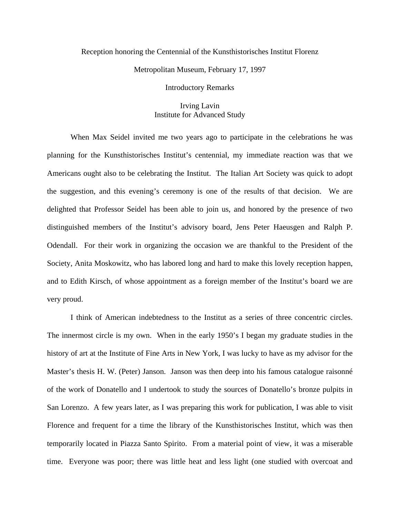## Reception honoring the Centennial of the Kunsthistorisches Institut Florenz

Metropolitan Museum, February 17, 1997

Introductory Remarks

Irving Lavin Institute for Advanced Study

When Max Seidel invited me two years ago to participate in the celebrations he was planning for the Kunsthistorisches Institut's centennial, my immediate reaction was that we Americans ought also to be celebrating the Institut. The Italian Art Society was quick to adopt the suggestion, and this evening's ceremony is one of the results of that decision. We are delighted that Professor Seidel has been able to join us, and honored by the presence of two distinguished members of the Institut's advisory board, Jens Peter Haeusgen and Ralph P. Odendall. For their work in organizing the occasion we are thankful to the President of the Society, Anita Moskowitz, who has labored long and hard to make this lovely reception happen, and to Edith Kirsch, of whose appointment as a foreign member of the Institut's board we are very proud.

I think of American indebtedness to the Institut as a series of three concentric circles. The innermost circle is my own. When in the early 1950's I began my graduate studies in the history of art at the Institute of Fine Arts in New York, I was lucky to have as my advisor for the Master's thesis H. W. (Peter) Janson. Janson was then deep into his famous catalogue raisonné of the work of Donatello and I undertook to study the sources of Donatello's bronze pulpits in San Lorenzo. A few years later, as I was preparing this work for publication, I was able to visit Florence and frequent for a time the library of the Kunsthistorisches Institut, which was then temporarily located in Piazza Santo Spirito. From a material point of view, it was a miserable time. Everyone was poor; there was little heat and less light (one studied with overcoat and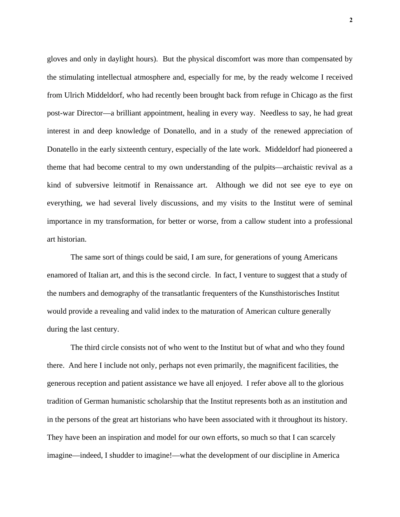gloves and only in daylight hours). But the physical discomfort was more than compensated by the stimulating intellectual atmosphere and, especially for me, by the ready welcome I received from Ulrich Middeldorf, who had recently been brought back from refuge in Chicago as the first post-war Director—a brilliant appointment, healing in every way. Needless to say, he had great interest in and deep knowledge of Donatello, and in a study of the renewed appreciation of Donatello in the early sixteenth century, especially of the late work. Middeldorf had pioneered a theme that had become central to my own understanding of the pulpits—archaistic revival as a kind of subversive leitmotif in Renaissance art. Although we did not see eye to eye on everything, we had several lively discussions, and my visits to the Institut were of seminal importance in my transformation, for better or worse, from a callow student into a professional art historian.

The same sort of things could be said, I am sure, for generations of young Americans enamored of Italian art, and this is the second circle. In fact, I venture to suggest that a study of the numbers and demography of the transatlantic frequenters of the Kunsthistorisches Institut would provide a revealing and valid index to the maturation of American culture generally during the last century.

The third circle consists not of who went to the Institut but of what and who they found there. And here I include not only, perhaps not even primarily, the magnificent facilities, the generous reception and patient assistance we have all enjoyed. I refer above all to the glorious tradition of German humanistic scholarship that the Institut represents both as an institution and in the persons of the great art historians who have been associated with it throughout its history. They have been an inspiration and model for our own efforts, so much so that I can scarcely imagine—indeed, I shudder to imagine!—what the development of our discipline in America